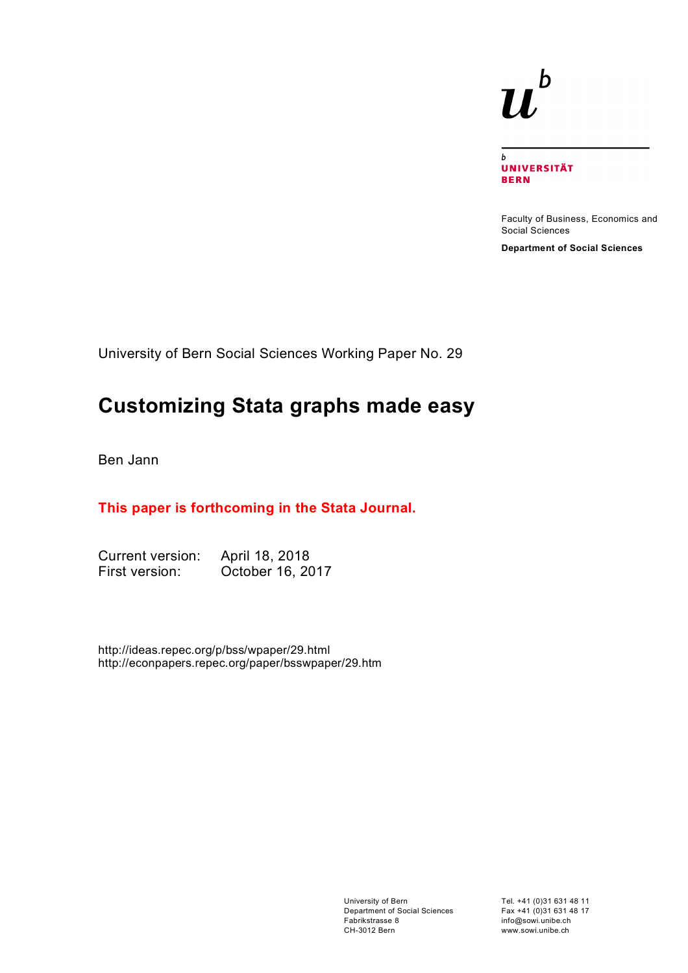# $\mathbf b$ 77

 $\mathbf{h}$ **UNIVERSITÄT BERN** 

Faculty of Business, Economics and Social Sciences

**Department of Social Sciences**

University of Bern Social Sciences Working Paper No. 29

# **Customizing Stata graphs made easy**

Ben Jann

# **This paper is forthcoming in the Stata Journal.**

Current version: April 18, 2018 First version: October 16, 2017

http://ideas.repec.org/p/bss/wpaper/29.html http://econpapers.repec.org/paper/bsswpaper/29.htm

> University of Bern Department of Social Sciences Fabrikstrasse 8 CH-3012 Bern

Tel. +41 (0)31 631 48 11 Fax +41 (0)31 631 48 17 info@sowi.unibe.ch www.sowi.unibe.ch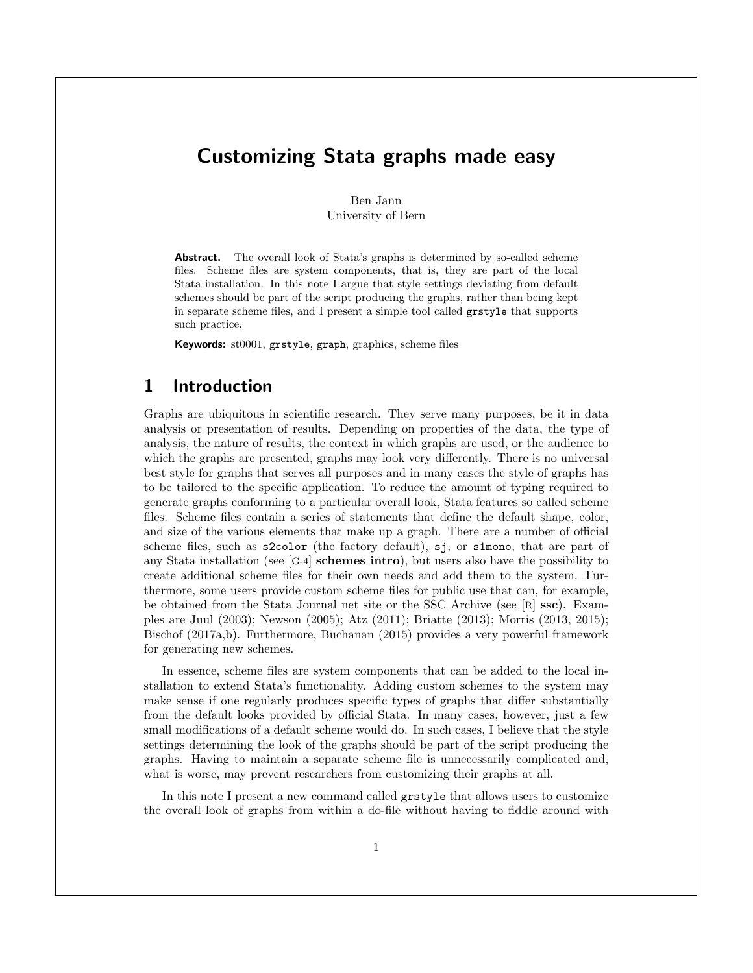# Customizing Stata graphs made easy

Ben Jann University of Bern

Abstract. The overall look of Stata's graphs is determined by so-called scheme files. Scheme files are system components, that is, they are part of the local Stata installation. In this note I argue that style settings deviating from default schemes should be part of the script producing the graphs, rather than being kept in separate scheme files, and I present a simple tool called grstyle that supports such practice.

Keywords: st0001, grstyle, graph, graphics, scheme files

# 1 Introduction

Graphs are ubiquitous in scientific research. They serve many purposes, be it in data analysis or presentation of results. Depending on properties of the data, the type of analysis, the nature of results, the context in which graphs are used, or the audience to which the graphs are presented, graphs may look very differently. There is no universal best style for graphs that serves all purposes and in many cases the style of graphs has to be tailored to the specific application. To reduce the amount of typing required to generate graphs conforming to a particular overall look, Stata features so called scheme files. Scheme files contain a series of statements that define the default shape, color, and size of the various elements that make up a graph. There are a number of official scheme files, such as s2color (the factory default), sj, or s1mono, that are part of any Stata installation (see  $[G-4]$  schemes intro), but users also have the possibility to create additional scheme files for their own needs and add them to the system. Furthermore, some users provide custom scheme files for public use that can, for example, be obtained from the Stata Journal net site or the SSC Archive (see [R] ssc). Examples are [Juul](#page-11-0) [\(2003\)](#page-11-0); [Newson](#page-11-1) [\(2005\)](#page-11-1); [Atz](#page-10-0) [\(2011\)](#page-10-0); [Briatte](#page-11-2) [\(2013\)](#page-11-2); [Morris](#page-11-3) [\(2013,](#page-11-3) [2015\)](#page-11-4); [Bischof](#page-10-1) [\(2017a](#page-10-1)[,b\)](#page-11-5). Furthermore, [Buchanan](#page-11-6) [\(2015\)](#page-11-6) provides a very powerful framework for generating new schemes.

In essence, scheme files are system components that can be added to the local installation to extend Stata's functionality. Adding custom schemes to the system may make sense if one regularly produces specific types of graphs that differ substantially from the default looks provided by official Stata. In many cases, however, just a few small modifications of a default scheme would do. In such cases, I believe that the style settings determining the look of the graphs should be part of the script producing the graphs. Having to maintain a separate scheme file is unnecessarily complicated and, what is worse, may prevent researchers from customizing their graphs at all.

In this note I present a new command called grstyle that allows users to customize the overall look of graphs from within a do-file without having to fiddle around with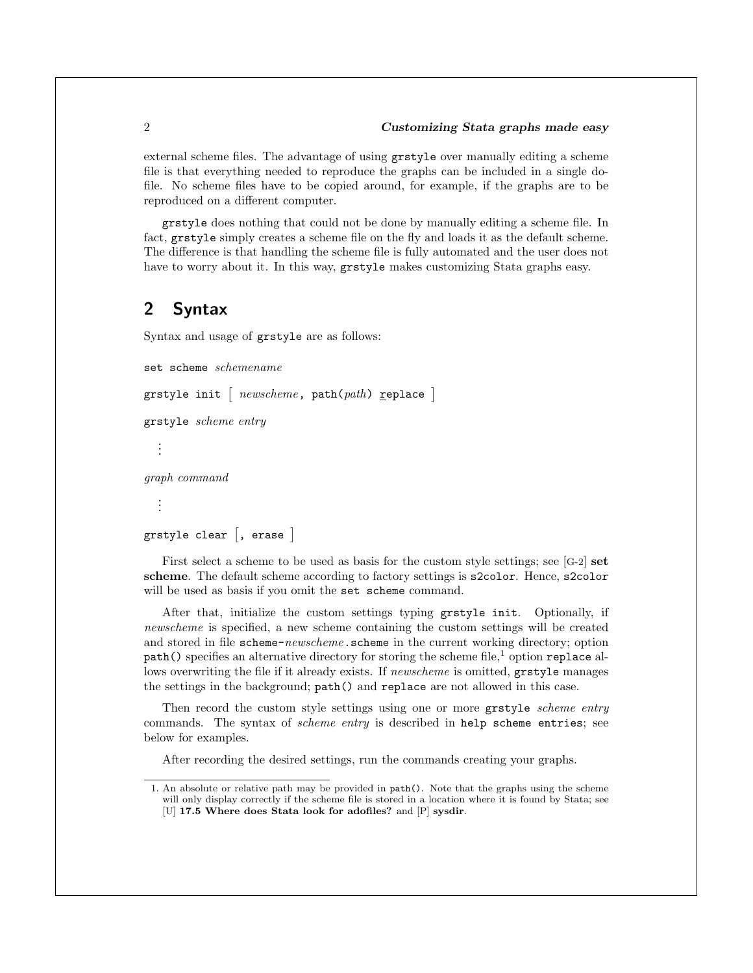#### 2 *Customizing Stata graphs made easy*

external scheme files. The advantage of using grstyle over manually editing a scheme file is that everything needed to reproduce the graphs can be included in a single dofile. No scheme files have to be copied around, for example, if the graphs are to be reproduced on a different computer.

grstyle does nothing that could not be done by manually editing a scheme file. In fact, grstyle simply creates a scheme file on the fly and loads it as the default scheme. The difference is that handling the scheme file is fully automated and the user does not have to worry about it. In this way, grstyle makes customizing Stata graphs easy.

# 2 Syntax

Syntax and usage of grstyle are as follows:

```
set scheme schemename
grstyle init \lceil newscheme, path(path) replace \rceilgrstyle scheme entry
   .
.
.
graph command
   .
.
.
grstyle clear \lceil, \text{ erase} \rceil
```
First select a scheme to be used as basis for the custom style settings; see [G-2] set scheme. The default scheme according to factory settings is s2color. Hence, s2color will be used as basis if you omit the set scheme command.

After that, initialize the custom settings typing grstyle init. Optionally, if *newscheme* is specified, a new scheme containing the custom settings will be created and stored in file scheme-*newscheme*.scheme in the current working directory; option  $path()$  specifies an alternative directory for storing the scheme file,<sup>[1](#page-2-0)</sup> option replace allows overwriting the file if it already exists. If *newscheme* is omitted, grstyle manages the settings in the background; path() and replace are not allowed in this case.

Then record the custom style settings using one or more grstyle *scheme entry* commands. The syntax of *scheme entry* is described in help scheme entries; see below for examples.

After recording the desired settings, run the commands creating your graphs.

<span id="page-2-0"></span><sup>1.</sup> An absolute or relative path may be provided in path(). Note that the graphs using the scheme will only display correctly if the scheme file is stored in a location where it is found by Stata; see [U] 17.5 Where does Stata look for adofiles? and [P] sysdir.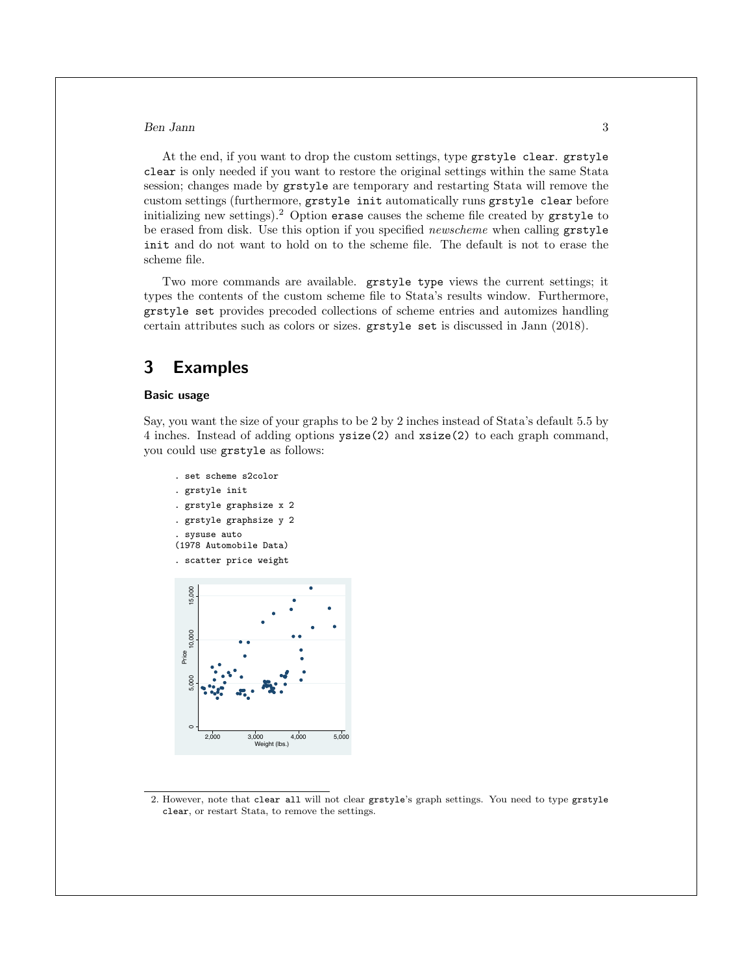At the end, if you want to drop the custom settings, type grstyle clear. grstyle clear is only needed if you want to restore the original settings within the same Stata session; changes made by grstyle are temporary and restarting Stata will remove the custom settings (furthermore, grstyle init automatically runs grstyle clear before initializing new settings).<sup>[2](#page-3-0)</sup> Option erase causes the scheme file created by  $grstyle$  to be erased from disk. Use this option if you specified *newscheme* when calling grstyle init and do not want to hold on to the scheme file. The default is not to erase the scheme file.

Two more commands are available. grstyle type views the current settings; it types the contents of the custom scheme file to Stata's results window. Furthermore, grstyle set provides precoded collections of scheme entries and automizes handling certain attributes such as colors or sizes. grstyle set is discussed in [Jann](#page-11-7) [\(2018\)](#page-11-7).

## 3 Examples

#### Basic usage

Say, you want the size of your graphs to be 2 by 2 inches instead of Stata's default 5.5 by 4 inches. Instead of adding options ysize(2) and xsize(2) to each graph command, you could use grstyle as follows:

- . set scheme s2color
- . grstyle init
- . grstyle graphsize x 2
- . grstyle graphsize y 2
- . sysuse auto
- (1978 Automobile Data)
- . scatter price weight



<span id="page-3-0"></span>2. However, note that clear all will not clear grstyle's graph settings. You need to type grstyle clear, or restart Stata, to remove the settings.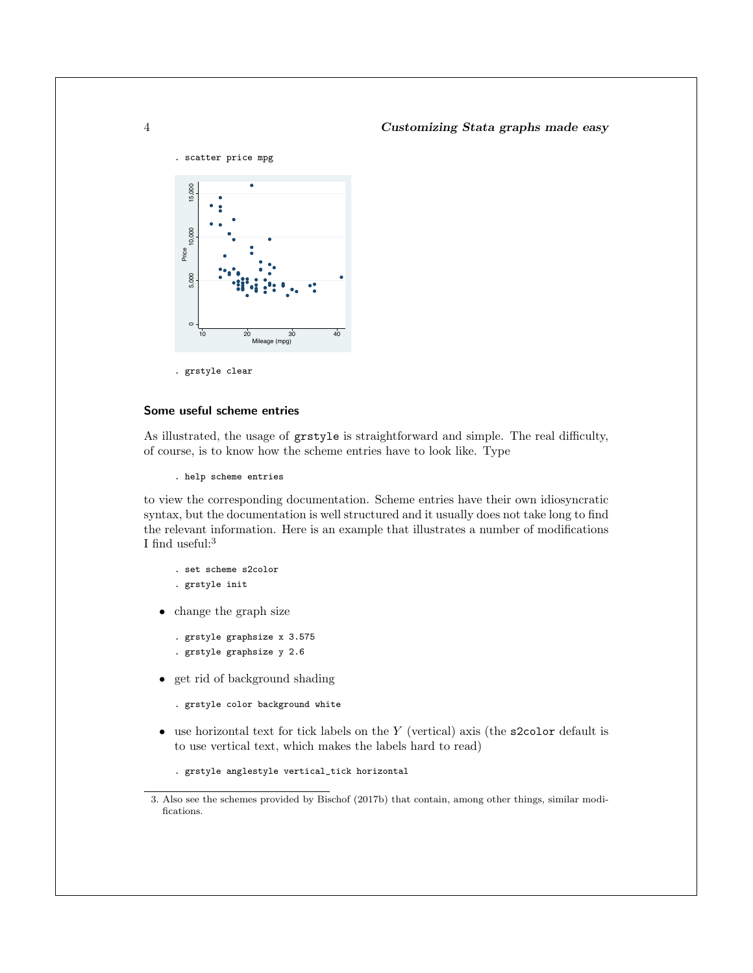4 *Customizing Stata graphs made easy*



. grstyle clear

#### Some useful scheme entries

As illustrated, the usage of grstyle is straightforward and simple. The real difficulty, of course, is to know how the scheme entries have to look like. Type

. help scheme entries

to view the corresponding documentation. Scheme entries have their own idiosyncratic syntax, but the documentation is well structured and it usually does not take long to find the relevant information. Here is an example that illustrates a number of modifications I find useful:<sup>[3](#page-4-0)</sup>

- . set scheme s2color
- . grstyle init
- *•* change the graph size
	- . grstyle graphsize x 3.575
	- . grstyle graphsize y 2.6
- *•* get rid of background shading
	- . grstyle color background white
- *•* use horizontal text for tick labels on the *Y* (vertical) axis (the s2color default is to use vertical text, which makes the labels hard to read)
	- . grstyle anglestyle vertical\_tick horizontal

<span id="page-4-0"></span><sup>3.</sup> Also see the schemes provided by [Bischof](#page-11-5) [\(2017b\)](#page-11-5) that contain, among other things, similar modifications.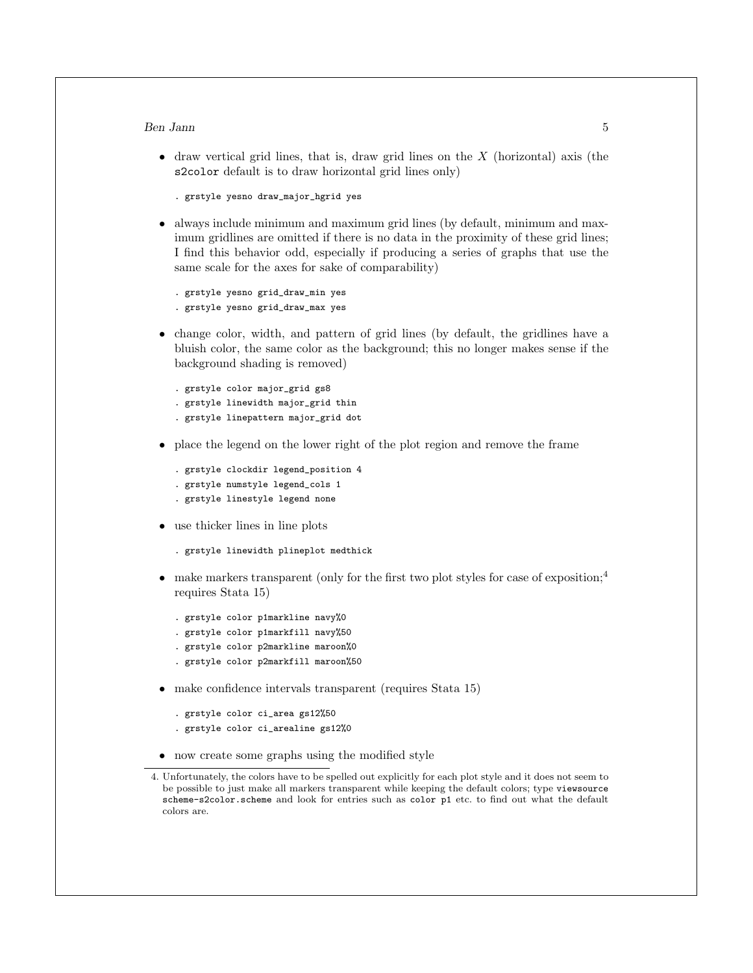- *•* draw vertical grid lines, that is, draw grid lines on the *X* (horizontal) axis (the s2color default is to draw horizontal grid lines only)
	- . grstyle yesno draw\_major\_hgrid yes
- always include minimum and maximum grid lines (by default, minimum and maximum gridlines are omitted if there is no data in the proximity of these grid lines; I find this behavior odd, especially if producing a series of graphs that use the same scale for the axes for sake of comparability)
	- . grstyle yesno grid\_draw\_min yes
	- . grstyle yesno grid\_draw\_max yes
- change color, width, and pattern of grid lines (by default, the gridlines have a bluish color, the same color as the background; this no longer makes sense if the background shading is removed)
	- . grstyle color major\_grid gs8
	- . grstyle linewidth major\_grid thin
	- . grstyle linepattern major\_grid dot
- place the legend on the lower right of the plot region and remove the frame
	- . grstyle clockdir legend\_position 4
	- . grstyle numstyle legend\_cols 1
	- . grstyle linestyle legend none
- *•* use thicker lines in line plots
	- . grstyle linewidth plineplot medthick
- make markers transparent (only for the first two plot styles for case of exposition;<sup>[4](#page-5-0)</sup> requires Stata 15)
	- . grstyle color p1markline navy%0
	- . grstyle color p1markfill navy%50
	- . grstyle color p2markline maroon%0
	- . grstyle color p2markfill maroon%50
- make confidence intervals transparent (requires Stata 15)
	- . grstyle color ci\_area gs12%50
	- . grstyle color ci\_arealine gs12%0
- now create some graphs using the modified style

<span id="page-5-0"></span><sup>4.</sup> Unfortunately, the colors have to be spelled out explicitly for each plot style and it does not seem to be possible to just make all markers transparent while keeping the default colors; type viewsource scheme-s2color.scheme and look for entries such as color p1 etc. to find out what the default colors are.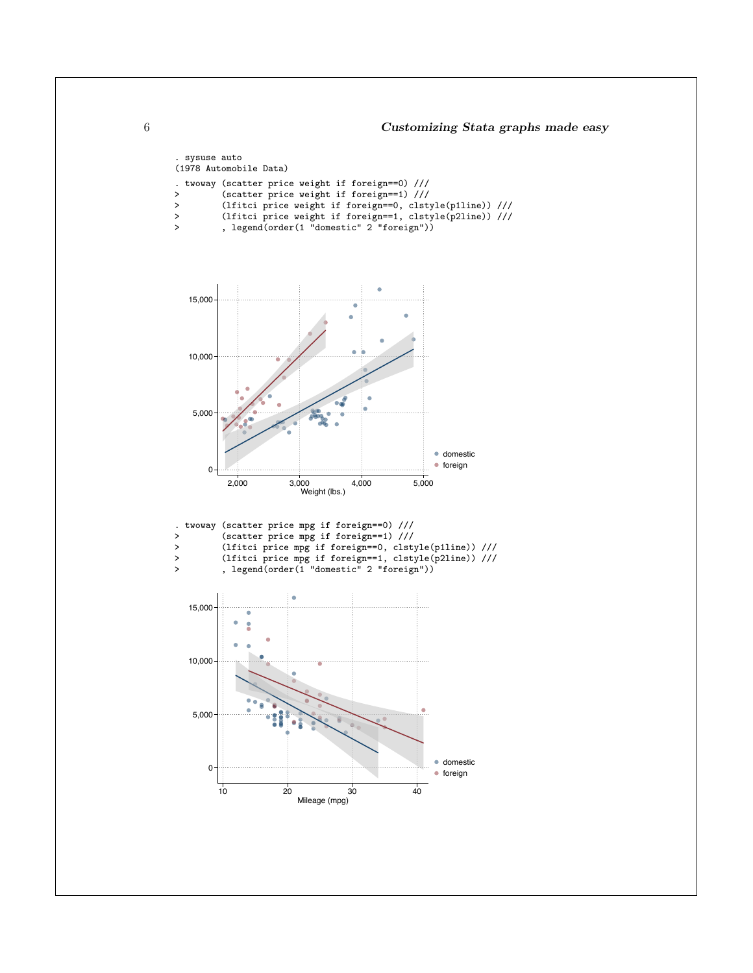

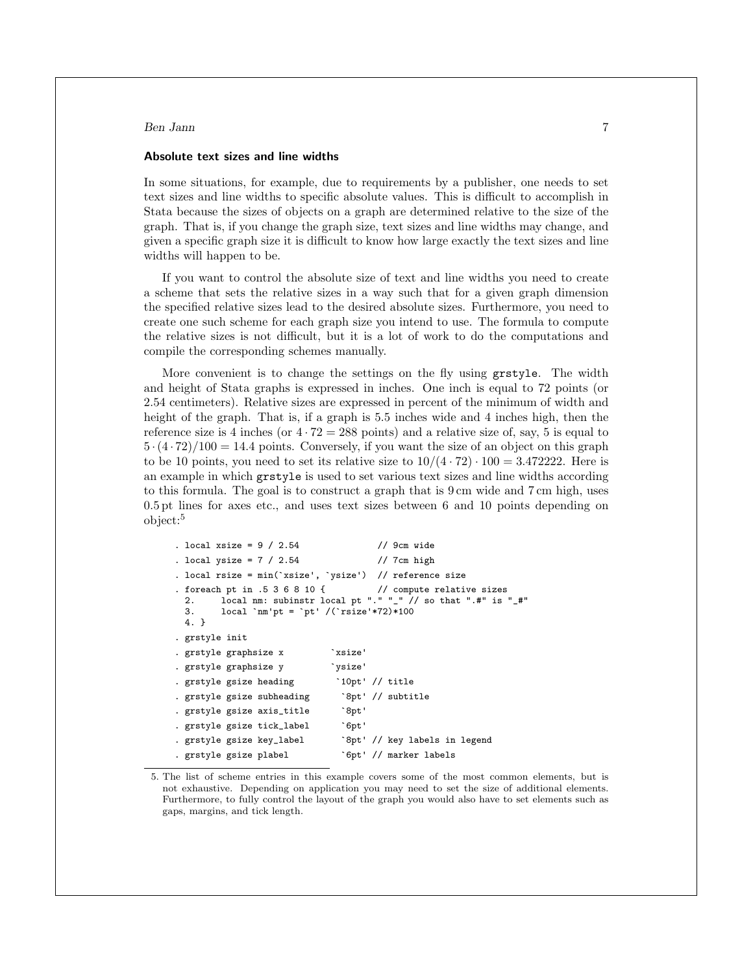#### Absolute text sizes and line widths

In some situations, for example, due to requirements by a publisher, one needs to set text sizes and line widths to specific absolute values. This is difficult to accomplish in Stata because the sizes of objects on a graph are determined relative to the size of the graph. That is, if you change the graph size, text sizes and line widths may change, and given a specific graph size it is difficult to know how large exactly the text sizes and line widths will happen to be.

If you want to control the absolute size of text and line widths you need to create a scheme that sets the relative sizes in a way such that for a given graph dimension the specified relative sizes lead to the desired absolute sizes. Furthermore, you need to create one such scheme for each graph size you intend to use. The formula to compute the relative sizes is not difficult, but it is a lot of work to do the computations and compile the corresponding schemes manually.

More convenient is to change the settings on the fly using grstyle. The width and height of Stata graphs is expressed in inches. One inch is equal to 72 points (or 2.54 centimeters). Relative sizes are expressed in percent of the minimum of width and height of the graph. That is, if a graph is 5.5 inches wide and 4 inches high, then the reference size is 4 inches (or  $4 \cdot 72 = 288$  points) and a relative size of, say, 5 is equal to 5 *·*(4 *·* 72)*/*100 = 14*.*4 points. Conversely, if you want the size of an object on this graph to be 10 points, you need to set its relative size to  $10/(4 \cdot 72) \cdot 100 = 3.472222$ . Here is an example in which grstyle is used to set various text sizes and line widths according to this formula. The goal is to construct a graph that is 9 cm wide and 7 cm high, uses 0.5 pt lines for axes etc., and uses text sizes between 6 and 10 points depending on object:[5](#page-7-0)

```
. local xsize = 9 / 2.54 // 9cm wide
. local ysize = 7 / 2.54 // 7cm high
. local rsize = min(`xsize', `ysize') // reference size
. foreach pt in .5 3 6 8 10 { \prime // compute relative sizes 2. local nm: subinstr local pt "." "_" // so that ".#" is
        local nm: subinstr local pt "." "_" // so that ".#" is "_#"
 3. local nm'pt = pt' /(rsize'*72)*100
 4. }
. grstyle init
. grstyle graphsize x \frac{1}{2} xsize'
. grstyle graphsize y `ysize'
. grstyle gsize heading `10pt' // title
. grstyle gsize subheading `8pt' // subtitle
. grstyle gsize axis_title `8pt'
. grstyle gsize tick_label `6pt'
. grstyle gsize key_label `8pt' // key labels in legend
. grstyle gsize plabel `6pt' // marker labels
```
<span id="page-7-0"></span><sup>5.</sup> The list of scheme entries in this example covers some of the most common elements, but is not exhaustive. Depending on application you may need to set the size of additional elements. Furthermore, to fully control the layout of the graph you would also have to set elements such as gaps, margins, and tick length.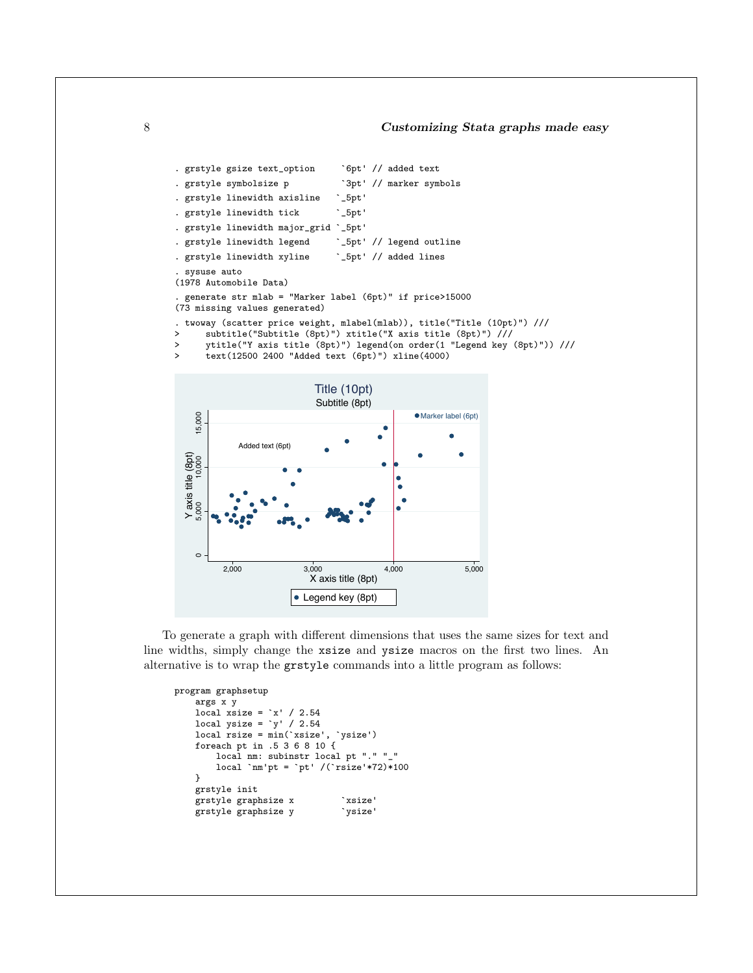```
. grstyle gsize text_option `6pt' // added text
. grstyle symbolsize p `3pt' // marker symbols
. grstyle linewidth axisline `_5pt'
. grstyle linewidth tick `_5pt'
. grstyle linewidth major_grid `_5pt'
. grstyle linewidth legend `_5pt' // legend outline
. grstyle linewidth xyline `_5pt' // added lines
 . sysuse auto
(1978 Automobile Data)
 . generate str mlab = "Marker label (6pt)" if price>15000
(73 missing values generated)
. twoway (scatter price weight, mlabel(mlab)), title("Title (10pt)") ///
     > subtitle("Subtitle (8pt)") xtitle("X axis title (8pt)") ///
> ytitle("Y axis title (8pt)") legend(on order(1 "Legend key (8pt)")) ///
```




To generate a graph with different dimensions that uses the same sizes for text and line widths, simply change the xsize and ysize macros on the first two lines. An alternative is to wrap the grstyle commands into a little program as follows:

```
program graphsetup
    args x y
    local xsize = x' / 2.54local ysize = \gamma' / 2.54
    local rsize = min(`xsize', `ysize')
    foreach pt in .5 3 6 8 10 {
         local nm: subinstr local pt "." "_"
         local `nm'pt = `pt' /(`rsize'*72)*100
    }
    grstyle init
    grstyle graphsize x \gamma is ize'<br>grstyle graphsize y \gamma is ize'
    grstyle graphsize y
```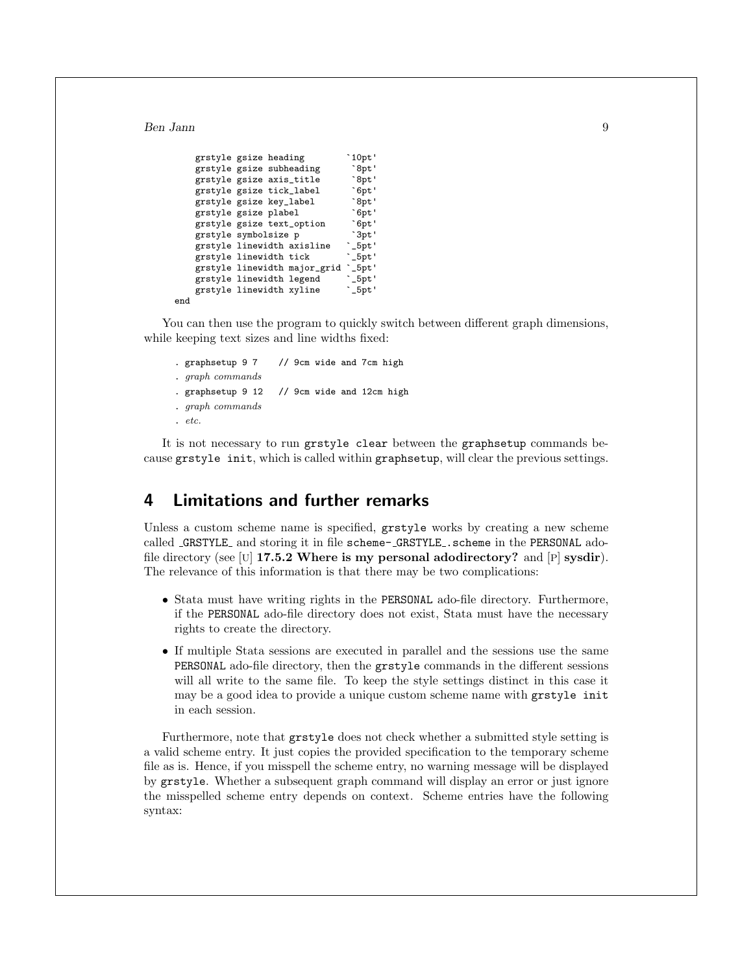```
grstyle gsize heading `10pt'<br>grstyle gsize subheading `8pt'
    grstyle gsize subheading
    grstyle gsize axis_title `8pt'
    grstyle gsize tick_label `6pt'<br>grstyle gsize key_label `8pt'
    grstyle gsize key_label
    grstyle gsize plabel `6pt'
    grstyle gsize text_option `6pt'
    grstyle symbolsize p `3pt'
    grstyle linewidth axisline `_5pt'
    grstyle linewidth tick `_5pt'
    grstyle linewidth major_grid `_5pt'
    grstyle linewidth legend `_5pt'<br>grstyle linewidth xyline `_5pt'
    grstyle linewidth xyline
end
```
You can then use the program to quickly switch between different graph dimensions, while keeping text sizes and line widths fixed:

. graphsetup 9 7 // 9cm wide and 7cm high . *graph commands* . graphsetup 9 12 // 9cm wide and 12cm high . *graph commands* . *etc.*

It is not necessary to run grstyle clear between the graphsetup commands because grstyle init, which is called within graphsetup, will clear the previous settings.

# 4 Limitations and further remarks

Unless a custom scheme name is specified, grstyle works by creating a new scheme called GRSTYLE and storing it in file scheme-GRSTYLE. scheme in the PERSONAL adofile directory (see [U] 17.5.2 Where is my personal adodirectory? and [P] sysdir). The relevance of this information is that there may be two complications:

- Stata must have writing rights in the PERSONAL ado-file directory. Furthermore, if the PERSONAL ado-file directory does not exist, Stata must have the necessary rights to create the directory.
- If multiple Stata sessions are executed in parallel and the sessions use the same PERSONAL ado-file directory, then the grstyle commands in the different sessions will all write to the same file. To keep the style settings distinct in this case it may be a good idea to provide a unique custom scheme name with grstyle init in each session.

Furthermore, note that grstyle does not check whether a submitted style setting is a valid scheme entry. It just copies the provided specification to the temporary scheme file as is. Hence, if you misspell the scheme entry, no warning message will be displayed by grstyle. Whether a subsequent graph command will display an error or just ignore the misspelled scheme entry depends on context. Scheme entries have the following syntax: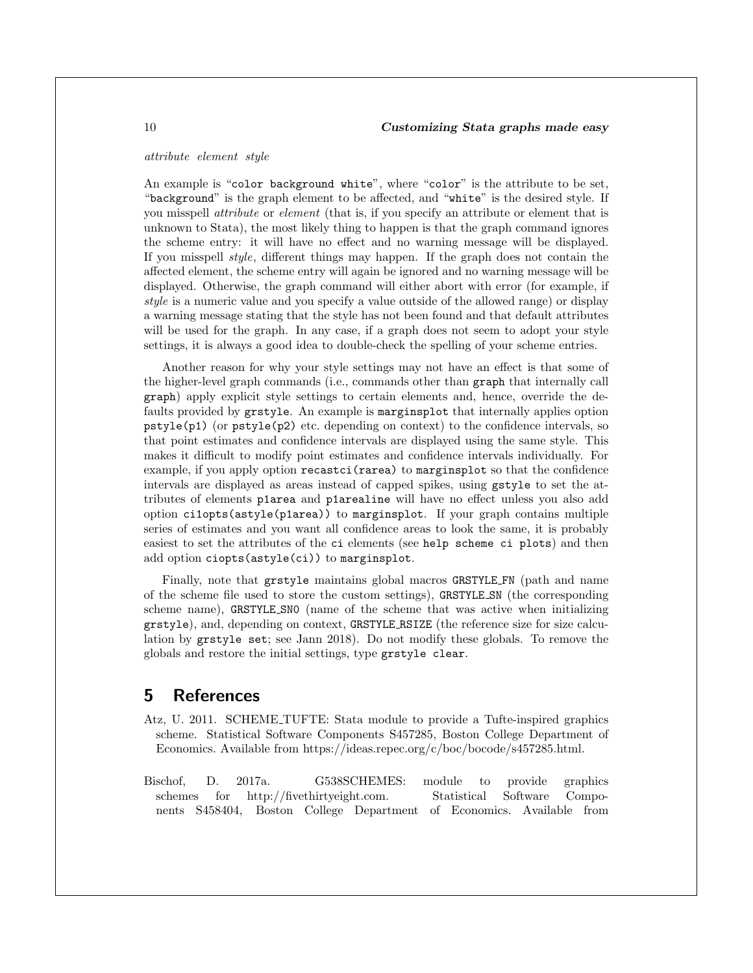### *attribute element style*

An example is "color background white", where "color" is the attribute to be set, "background" is the graph element to be affected, and "white" is the desired style. If you misspell *attribute* or *element* (that is, if you specify an attribute or element that is unknown to Stata), the most likely thing to happen is that the graph command ignores the scheme entry: it will have no effect and no warning message will be displayed. If you misspell *style*, different things may happen. If the graph does not contain the affected element, the scheme entry will again be ignored and no warning message will be displayed. Otherwise, the graph command will either abort with error (for example, if *style* is a numeric value and you specify a value outside of the allowed range) or display a warning message stating that the style has not been found and that default attributes will be used for the graph. In any case, if a graph does not seem to adopt your style settings, it is always a good idea to double-check the spelling of your scheme entries.

Another reason for why your style settings may not have an effect is that some of the higher-level graph commands (i.e., commands other than graph that internally call graph) apply explicit style settings to certain elements and, hence, override the defaults provided by grstyle. An example is marginsplot that internally applies option pstyle(p1) (or pstyle(p2) etc. depending on context) to the confidence intervals, so that point estimates and confidence intervals are displayed using the same style. This makes it difficult to modify point estimates and confidence intervals individually. For example, if you apply option recastci(rarea) to marginsplot so that the confidence intervals are displayed as areas instead of capped spikes, using gstyle to set the attributes of elements plarea and plarealine will have no effect unless you also add option ci1opts(astyle(p1area)) to marginsplot. If your graph contains multiple series of estimates and you want all confidence areas to look the same, it is probably easiest to set the attributes of the ci elements (see help scheme ci plots) and then add option ciopts(astyle(ci)) to marginsplot.

Finally, note that grstyle maintains global macros GRSTYLE FN (path and name of the scheme file used to store the custom settings), GRSTYLE SN (the corresponding scheme name), GRSTYLE SN0 (name of the scheme that was active when initializing grstyle), and, depending on context, GRSTYLE RSIZE (the reference size for size calculation by grstyle set; see [Jann 2018\)](#page-11-7). Do not modify these globals. To remove the globals and restore the initial settings, type grstyle clear.

### 5 References

- <span id="page-10-0"></span>Atz, U. 2011. SCHEME TUFTE: Stata module to provide a Tufte-inspired graphics scheme. Statistical Software Components S457285, Boston College Department of Economics. Available from https://ideas.repec.org/c/boc/bocode/s457285.html.
- <span id="page-10-1"></span>Bischof, D. 2017a. G538SCHEMES: module to provide graphics schemes for http://fivethirtyeight.com. Statistical Software Components S458404, Boston College Department of Economics. Available from